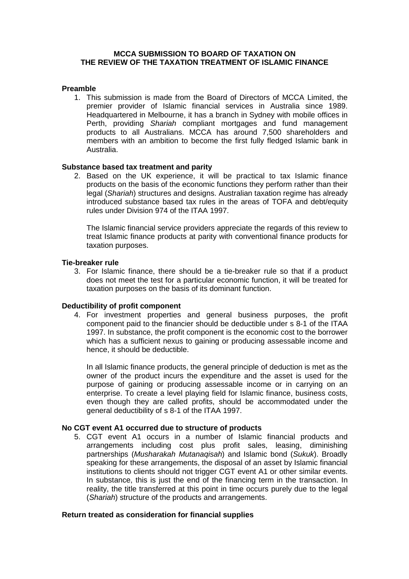### **MCCA SUBMISSION TO BOARD OF TAXATION ON THE REVIEW OF THE TAXATION TREATMENT OF ISLAMIC FINANCE**

### **Preamble**

1. This submission is made from the Board of Directors of MCCA Limited, the premier provider of Islamic financial services in Australia since 1989. Headquartered in Melbourne, it has a branch in Sydney with mobile offices in Perth, providing *Shariah* compliant mortgages and fund management products to all Australians. MCCA has around 7,500 shareholders and members with an ambition to become the first fully fledged Islamic bank in Australia.

## **Substance based tax treatment and parity**

2. Based on the UK experience, it will be practical to tax Islamic finance products on the basis of the economic functions they perform rather than their legal (*Shariah*) structures and designs. Australian taxation regime has already introduced substance based tax rules in the areas of TOFA and debt/equity rules under Division 974 of the ITAA 1997.

The Islamic financial service providers appreciate the regards of this review to treat Islamic finance products at parity with conventional finance products for taxation purposes.

## **Tie-breaker rule**

3. For Islamic finance, there should be a tie-breaker rule so that if a product does not meet the test for a particular economic function, it will be treated for taxation purposes on the basis of its dominant function.

# **Deductibility of profit component**

4. For investment properties and general business purposes, the profit component paid to the financier should be deductible under s 8-1 of the ITAA 1997. In substance, the profit component is the economic cost to the borrower which has a sufficient nexus to gaining or producing assessable income and hence, it should be deductible.

In all Islamic finance products, the general principle of deduction is met as the owner of the product incurs the expenditure and the asset is used for the purpose of gaining or producing assessable income or in carrying on an enterprise. To create a level playing field for Islamic finance, business costs, even though they are called profits, should be accommodated under the general deductibility of s 8-1 of the ITAA 1997.

### **No CGT event A1 occurred due to structure of products**

5. CGT event A1 occurs in a number of Islamic financial products and arrangements including cost plus profit sales, leasing, diminishing partnerships (*Musharakah Mutanaqisah*) and Islamic bond (*Sukuk*). Broadly speaking for these arrangements, the disposal of an asset by Islamic financial institutions to clients should not trigger CGT event A1 or other similar events. In substance, this is just the end of the financing term in the transaction. In reality, the title transferred at this point in time occurs purely due to the legal (*Shariah*) structure of the products and arrangements.

# **Return treated as consideration for financial supplies**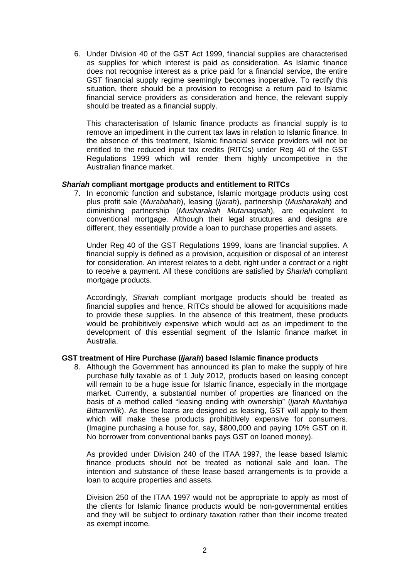6. Under Division 40 of the GST Act 1999, financial supplies are characterised as supplies for which interest is paid as consideration. As Islamic finance does not recognise interest as a price paid for a financial service, the entire GST financial supply regime seemingly becomes inoperative. To rectify this situation, there should be a provision to recognise a return paid to Islamic financial service providers as consideration and hence, the relevant supply should be treated as a financial supply.

This characterisation of Islamic finance products as financial supply is to remove an impediment in the current tax laws in relation to Islamic finance. In the absence of this treatment, Islamic financial service providers will not be entitled to the reduced input tax credits (RITCs) under Reg 40 of the GST Regulations 1999 which will render them highly uncompetitive in the Australian finance market.

## *Shariah* **compliant mortgage products and entitlement to RITCs**

7. In economic function and substance, Islamic mortgage products using cost plus profit sale (*Murabahah*), leasing (*Ijarah*), partnership (*Musharakah*) and diminishing partnership (*Musharakah Mutanaqisah*), are equivalent to conventional mortgage. Although their legal structures and designs are different, they essentially provide a loan to purchase properties and assets.

Under Reg 40 of the GST Regulations 1999, loans are financial supplies. A financial supply is defined as a provision, acquisition or disposal of an interest for consideration. An interest relates to a debt, right under a contract or a right to receive a payment. All these conditions are satisfied by *Shariah* compliant mortgage products.

Accordingly, *Shariah* compliant mortgage products should be treated as financial supplies and hence, RITCs should be allowed for acquisitions made to provide these supplies. In the absence of this treatment, these products would be prohibitively expensive which would act as an impediment to the development of this essential segment of the Islamic finance market in Australia.

# **GST treatment of Hire Purchase (***Ijarah***) based Islamic finance products**

8. Although the Government has announced its plan to make the supply of hire purchase fully taxable as of 1 July 2012, products based on leasing concept will remain to be a huge issue for Islamic finance, especially in the mortgage market. Currently, a substantial number of properties are financed on the basis of a method called "leasing ending with ownership" (*Ijarah Muntahiya Bittammlik*). As these loans are designed as leasing, GST will apply to them which will make these products prohibitively expensive for consumers. (Imagine purchasing a house for, say, \$800,000 and paying 10% GST on it. No borrower from conventional banks pays GST on loaned money).

As provided under Division 240 of the ITAA 1997, the lease based Islamic finance products should not be treated as notional sale and loan. The intention and substance of these lease based arrangements is to provide a loan to acquire properties and assets.

Division 250 of the ITAA 1997 would not be appropriate to apply as most of the clients for Islamic finance products would be non-governmental entities and they will be subject to ordinary taxation rather than their income treated as exempt income.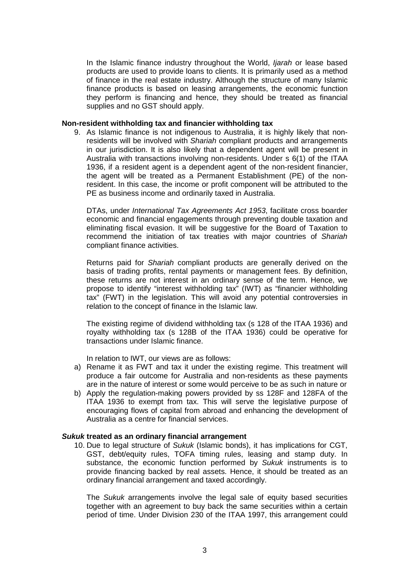In the Islamic finance industry throughout the World, *Ijarah* or lease based products are used to provide loans to clients. It is primarily used as a method of finance in the real estate industry. Although the structure of many Islamic finance products is based on leasing arrangements, the economic function they perform is financing and hence, they should be treated as financial supplies and no GST should apply.

### **Non-resident withholding tax and financier withholding tax**

9. As Islamic finance is not indigenous to Australia, it is highly likely that nonresidents will be involved with *Shariah* compliant products and arrangements in our jurisdiction. It is also likely that a dependent agent will be present in Australia with transactions involving non-residents. Under s 6(1) of the ITAA 1936, if a resident agent is a dependent agent of the non-resident financier, the agent will be treated as a Permanent Establishment (PE) of the nonresident. In this case, the income or profit component will be attributed to the PE as business income and ordinarily taxed in Australia.

DTAs, under *International Tax Agreements Act 1953*, facilitate cross boarder economic and financial engagements through preventing double taxation and eliminating fiscal evasion. It will be suggestive for the Board of Taxation to recommend the initiation of tax treaties with major countries of *Shariah* compliant finance activities.

Returns paid for *Shariah* compliant products are generally derived on the basis of trading profits, rental payments or management fees. By definition, these returns are not interest in an ordinary sense of the term. Hence, we propose to identify "interest withholding tax" (IWT) as "financier withholding tax" (FWT) in the legislation. This will avoid any potential controversies in relation to the concept of finance in the Islamic law.

The existing regime of dividend withholding tax (s 128 of the ITAA 1936) and royalty withholding tax (s 128B of the ITAA 1936) could be operative for transactions under Islamic finance.

In relation to IWT, our views are as follows:

- a) Rename it as FWT and tax it under the existing regime. This treatment will produce a fair outcome for Australia and non-residents as these payments are in the nature of interest or some would perceive to be as such in nature or
- b) Apply the regulation-making powers provided by ss 128F and 128FA of the ITAA 1936 to exempt from tax. This will serve the legislative purpose of encouraging flows of capital from abroad and enhancing the development of Australia as a centre for financial services.

## *Sukuk* **treated as an ordinary financial arrangement**

10. Due to legal structure of *Sukuk* (Islamic bonds), it has implications for CGT, GST, debt/equity rules, TOFA timing rules, leasing and stamp duty. In substance, the economic function performed by *Sukuk* instruments is to provide financing backed by real assets. Hence, it should be treated as an ordinary financial arrangement and taxed accordingly.

The *Sukuk* arrangements involve the legal sale of equity based securities together with an agreement to buy back the same securities within a certain period of time. Under Division 230 of the ITAA 1997, this arrangement could